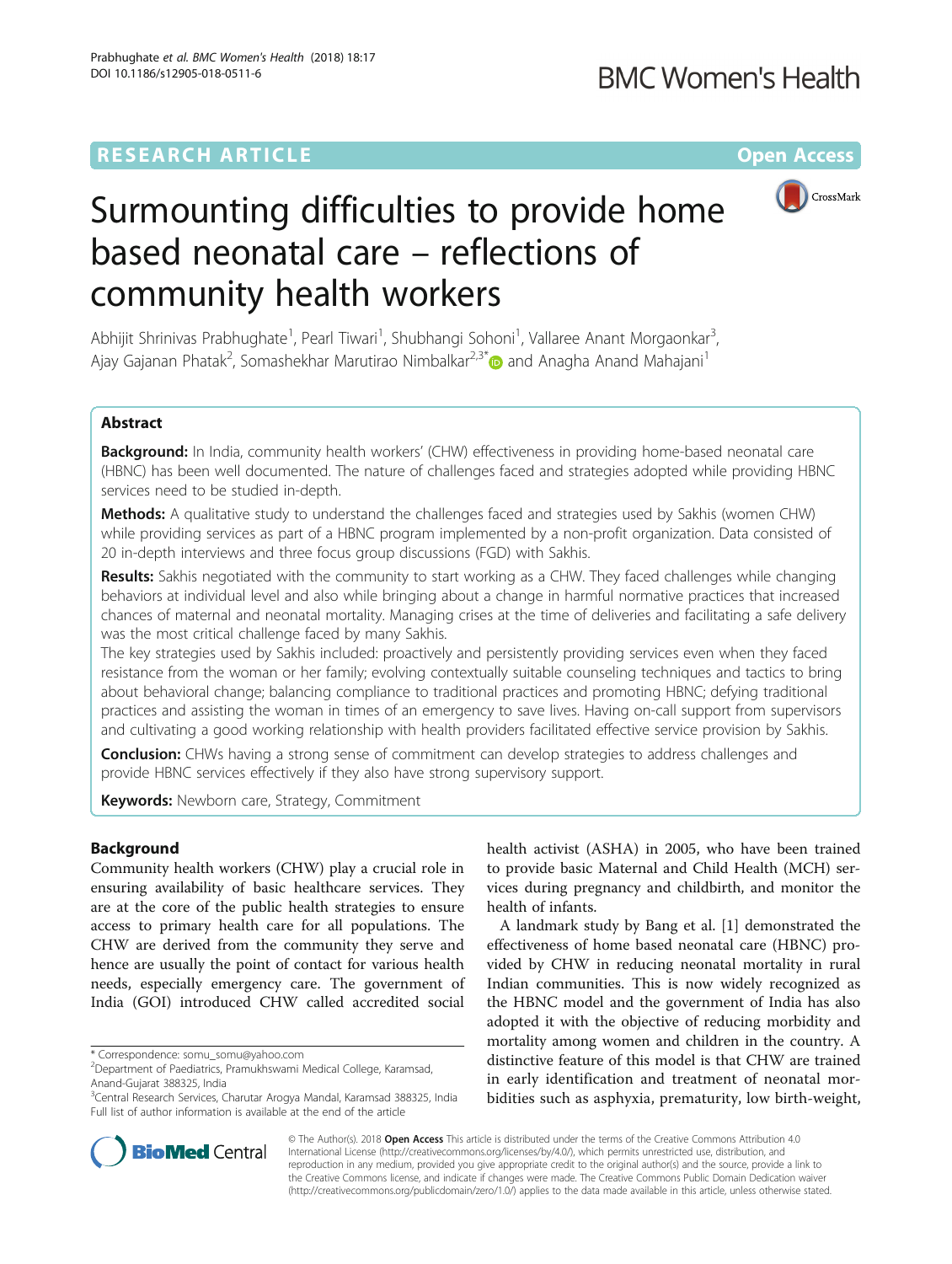# **RESEARCH ARTICLE External Structure Community Community Community Community Community Community Community Community**



# Surmounting difficulties to provide home based neonatal care – reflections of community health workers

Abhijit Shrinivas Prabhughate<sup>1</sup>, Pearl Tiwari<sup>1</sup>, Shubhangi Sohoni<sup>1</sup>, Vallaree Anant Morgaonkar<sup>3</sup> , Ajay Gajanan Phatak<sup>2</sup>, Somashekhar Marutirao Nimbalkar<sup>2,3\*</sup> and Anagha Anand Mahajani<sup>1</sup>

# Abstract

Background: In India, community health workers' (CHW) effectiveness in providing home-based neonatal care (HBNC) has been well documented. The nature of challenges faced and strategies adopted while providing HBNC services need to be studied in-depth.

Methods: A qualitative study to understand the challenges faced and strategies used by Sakhis (women CHW) while providing services as part of a HBNC program implemented by a non-profit organization. Data consisted of 20 in-depth interviews and three focus group discussions (FGD) with Sakhis.

Results: Sakhis negotiated with the community to start working as a CHW. They faced challenges while changing behaviors at individual level and also while bringing about a change in harmful normative practices that increased chances of maternal and neonatal mortality. Managing crises at the time of deliveries and facilitating a safe delivery was the most critical challenge faced by many Sakhis.

The key strategies used by Sakhis included: proactively and persistently providing services even when they faced resistance from the woman or her family; evolving contextually suitable counseling techniques and tactics to bring about behavioral change; balancing compliance to traditional practices and promoting HBNC; defying traditional practices and assisting the woman in times of an emergency to save lives. Having on-call support from supervisors and cultivating a good working relationship with health providers facilitated effective service provision by Sakhis.

**Conclusion:** CHWs having a strong sense of commitment can develop strategies to address challenges and provide HBNC services effectively if they also have strong supervisory support.

Keywords: Newborn care, Strategy, Commitment

# Background

Community health workers (CHW) play a crucial role in ensuring availability of basic healthcare services. They are at the core of the public health strategies to ensure access to primary health care for all populations. The CHW are derived from the community they serve and hence are usually the point of contact for various health needs, especially emergency care. The government of India (GOI) introduced CHW called accredited social



A landmark study by Bang et al. [[1](#page-7-0)] demonstrated the effectiveness of home based neonatal care (HBNC) provided by CHW in reducing neonatal mortality in rural Indian communities. This is now widely recognized as the HBNC model and the government of India has also adopted it with the objective of reducing morbidity and mortality among women and children in the country. A distinctive feature of this model is that CHW are trained in early identification and treatment of neonatal morbidities such as asphyxia, prematurity, low birth-weight,



© The Author(s). 2018 Open Access This article is distributed under the terms of the Creative Commons Attribution 4.0 International License [\(http://creativecommons.org/licenses/by/4.0/](http://creativecommons.org/licenses/by/4.0/)), which permits unrestricted use, distribution, and reproduction in any medium, provided you give appropriate credit to the original author(s) and the source, provide a link to the Creative Commons license, and indicate if changes were made. The Creative Commons Public Domain Dedication waiver [\(http://creativecommons.org/publicdomain/zero/1.0/](http://creativecommons.org/publicdomain/zero/1.0/)) applies to the data made available in this article, unless otherwise stated.

<sup>\*</sup> Correspondence: [somu\\_somu@yahoo.com](mailto:somu_somu@yahoo.com) <sup>2</sup>

Department of Paediatrics, Pramukhswami Medical College, Karamsad, Anand-Gujarat 388325, India

<sup>&</sup>lt;sup>3</sup>Central Research Services, Charutar Arogya Mandal, Karamsad 388325, India Full list of author information is available at the end of the article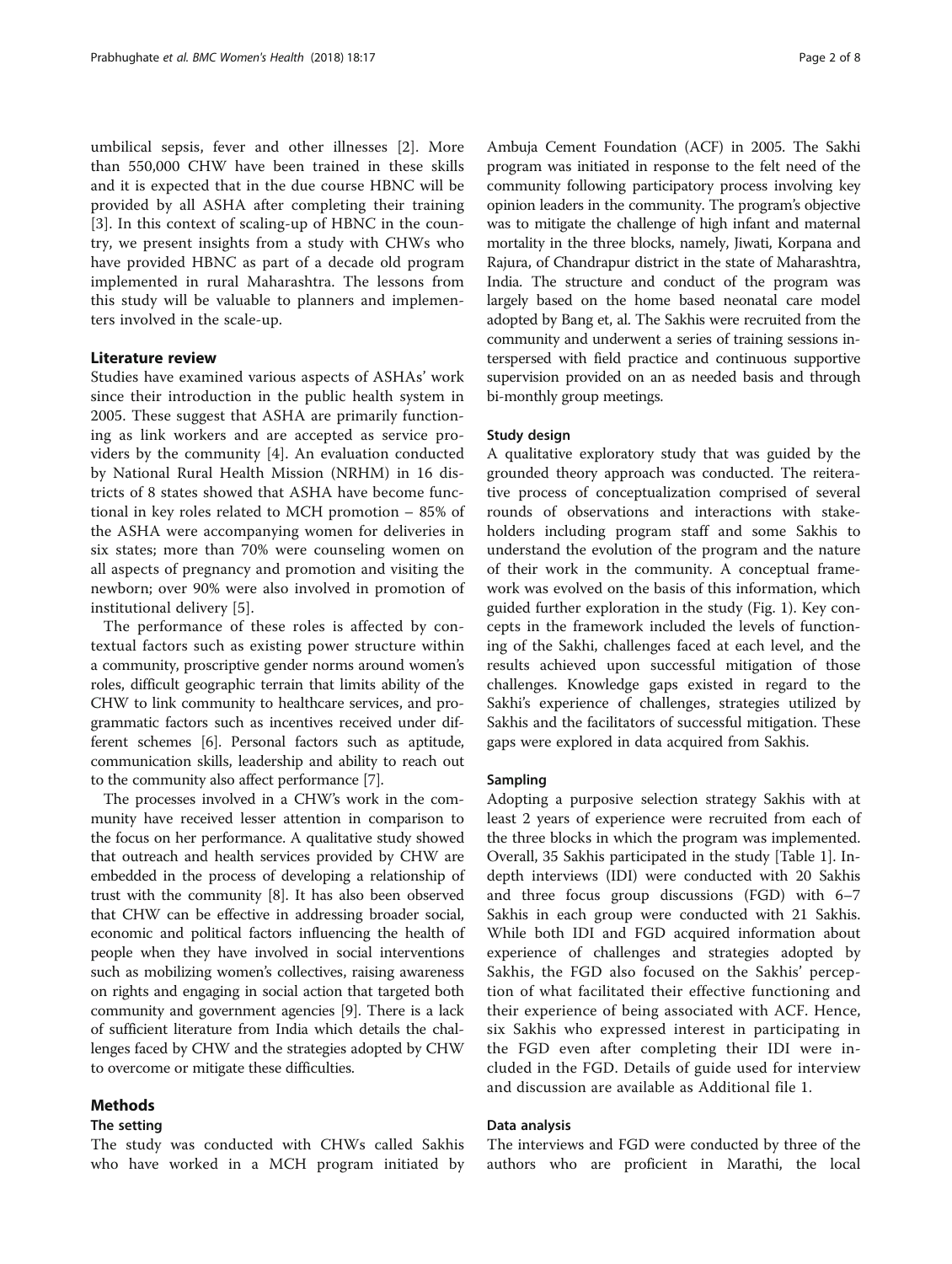umbilical sepsis, fever and other illnesses [[2\]](#page-7-0). More than 550,000 CHW have been trained in these skills and it is expected that in the due course HBNC will be provided by all ASHA after completing their training [[3\]](#page-7-0). In this context of scaling-up of HBNC in the country, we present insights from a study with CHWs who have provided HBNC as part of a decade old program implemented in rural Maharashtra. The lessons from this study will be valuable to planners and implementers involved in the scale-up.

# Literature review

Studies have examined various aspects of ASHAs' work since their introduction in the public health system in 2005. These suggest that ASHA are primarily functioning as link workers and are accepted as service providers by the community [[4](#page-7-0)]. An evaluation conducted by National Rural Health Mission (NRHM) in 16 districts of 8 states showed that ASHA have become functional in key roles related to MCH promotion – 85% of the ASHA were accompanying women for deliveries in six states; more than 70% were counseling women on all aspects of pregnancy and promotion and visiting the newborn; over 90% were also involved in promotion of institutional delivery [[5\]](#page-7-0).

The performance of these roles is affected by contextual factors such as existing power structure within a community, proscriptive gender norms around women's roles, difficult geographic terrain that limits ability of the CHW to link community to healthcare services, and programmatic factors such as incentives received under different schemes [[6\]](#page-7-0). Personal factors such as aptitude, communication skills, leadership and ability to reach out to the community also affect performance [\[7](#page-7-0)].

The processes involved in a CHW's work in the community have received lesser attention in comparison to the focus on her performance. A qualitative study showed that outreach and health services provided by CHW are embedded in the process of developing a relationship of trust with the community [[8](#page-7-0)]. It has also been observed that CHW can be effective in addressing broader social, economic and political factors influencing the health of people when they have involved in social interventions such as mobilizing women's collectives, raising awareness on rights and engaging in social action that targeted both community and government agencies [\[9](#page-7-0)]. There is a lack of sufficient literature from India which details the challenges faced by CHW and the strategies adopted by CHW to overcome or mitigate these difficulties.

# Methods

# The setting

The study was conducted with CHWs called Sakhis who have worked in a MCH program initiated by

Ambuja Cement Foundation (ACF) in 2005. The Sakhi program was initiated in response to the felt need of the community following participatory process involving key opinion leaders in the community. The program's objective was to mitigate the challenge of high infant and maternal mortality in the three blocks, namely, Jiwati, Korpana and Rajura, of Chandrapur district in the state of Maharashtra, India. The structure and conduct of the program was largely based on the home based neonatal care model adopted by Bang et, al. The Sakhis were recruited from the community and underwent a series of training sessions interspersed with field practice and continuous supportive supervision provided on an as needed basis and through bi-monthly group meetings.

## Study design

A qualitative exploratory study that was guided by the grounded theory approach was conducted. The reiterative process of conceptualization comprised of several rounds of observations and interactions with stakeholders including program staff and some Sakhis to understand the evolution of the program and the nature of their work in the community. A conceptual framework was evolved on the basis of this information, which guided further exploration in the study (Fig. [1](#page-2-0)). Key concepts in the framework included the levels of functioning of the Sakhi, challenges faced at each level, and the results achieved upon successful mitigation of those challenges. Knowledge gaps existed in regard to the Sakhi's experience of challenges, strategies utilized by Sakhis and the facilitators of successful mitigation. These gaps were explored in data acquired from Sakhis.

# Sampling

Adopting a purposive selection strategy Sakhis with at least 2 years of experience were recruited from each of the three blocks in which the program was implemented. Overall, 35 Sakhis participated in the study [Table [1\]](#page-2-0). Indepth interviews (IDI) were conducted with 20 Sakhis and three focus group discussions (FGD) with 6–7 Sakhis in each group were conducted with 21 Sakhis. While both IDI and FGD acquired information about experience of challenges and strategies adopted by Sakhis, the FGD also focused on the Sakhis' perception of what facilitated their effective functioning and their experience of being associated with ACF. Hence, six Sakhis who expressed interest in participating in the FGD even after completing their IDI were included in the FGD. Details of guide used for interview and discussion are available as Additional file [1](#page-6-0).

## Data analysis

The interviews and FGD were conducted by three of the authors who are proficient in Marathi, the local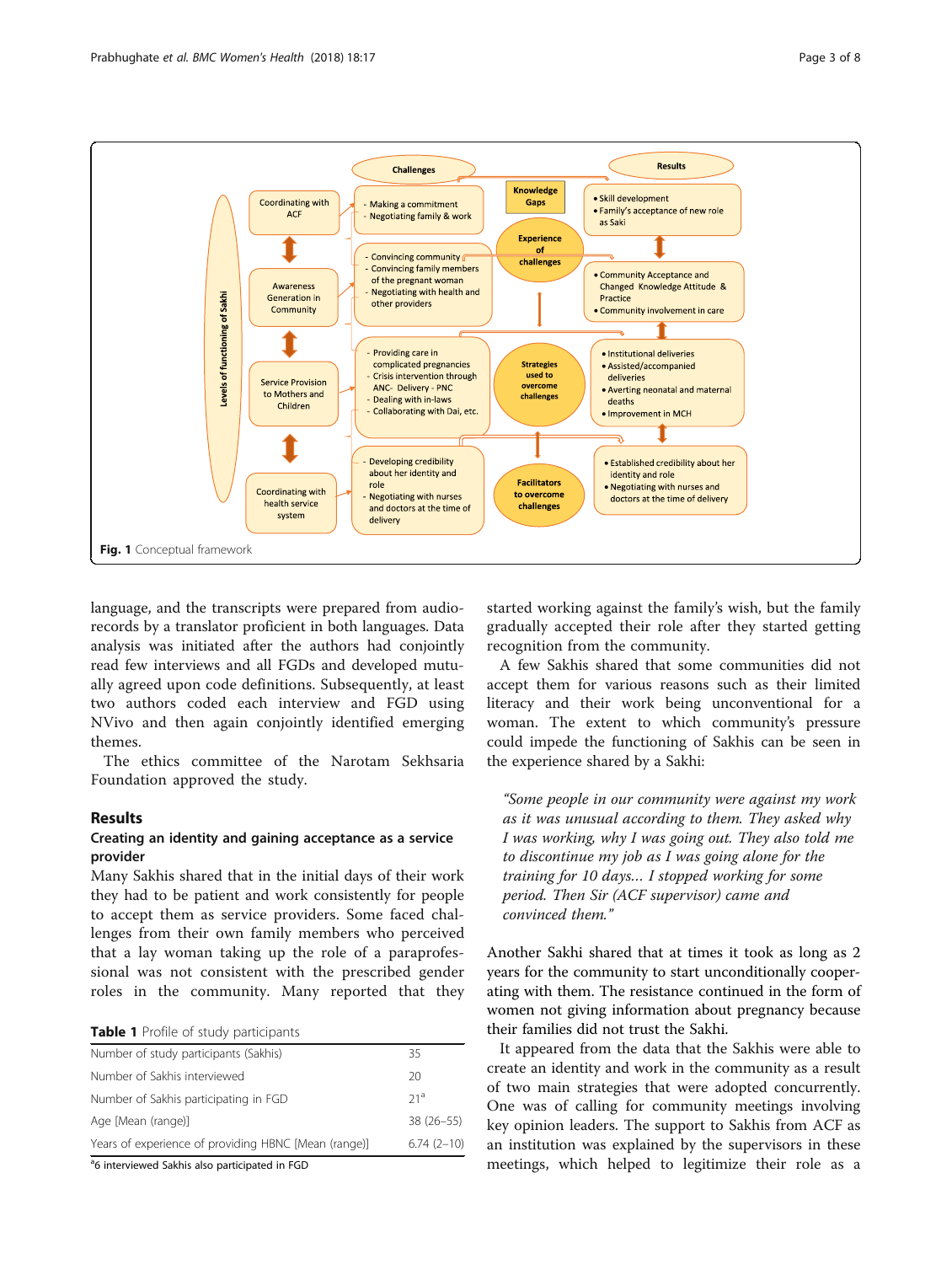<span id="page-2-0"></span>

language, and the transcripts were prepared from audiorecords by a translator proficient in both languages. Data analysis was initiated after the authors had conjointly read few interviews and all FGDs and developed mutually agreed upon code definitions. Subsequently, at least two authors coded each interview and FGD using NVivo and then again conjointly identified emerging themes.

The ethics committee of the Narotam Sekhsaria Foundation approved the study.

# Results

# Creating an identity and gaining acceptance as a service provider

Many Sakhis shared that in the initial days of their work they had to be patient and work consistently for people to accept them as service providers. Some faced challenges from their own family members who perceived that a lay woman taking up the role of a paraprofessional was not consistent with the prescribed gender roles in the community. Many reported that they

| Number of study participants (Sakhis)                | 35              |
|------------------------------------------------------|-----------------|
| Number of Sakhis interviewed                         | 20              |
| Number of Sakhis participating in FGD                | 21 <sup>a</sup> |
| Age [Mean (range)]                                   | $38(26 - 55)$   |
| Years of experience of providing HBNC [Mean (range)] | $6.74(2-10)$    |
|                                                      |                 |

<sup>a</sup>6 interviewed Sakhis also participated in FGD

started working against the family's wish, but the family gradually accepted their role after they started getting recognition from the community.

A few Sakhis shared that some communities did not accept them for various reasons such as their limited literacy and their work being unconventional for a woman. The extent to which community's pressure could impede the functioning of Sakhis can be seen in the experience shared by a Sakhi:

"Some people in our community were against my work as it was unusual according to them. They asked why I was working, why I was going out. They also told me to discontinue my job as I was going alone for the training for 10 days… I stopped working for some period. Then Sir (ACF supervisor) came and convinced them."

Another Sakhi shared that at times it took as long as 2 years for the community to start unconditionally cooperating with them. The resistance continued in the form of women not giving information about pregnancy because their families did not trust the Sakhi.

It appeared from the data that the Sakhis were able to create an identity and work in the community as a result of two main strategies that were adopted concurrently. One was of calling for community meetings involving key opinion leaders. The support to Sakhis from ACF as an institution was explained by the supervisors in these meetings, which helped to legitimize their role as a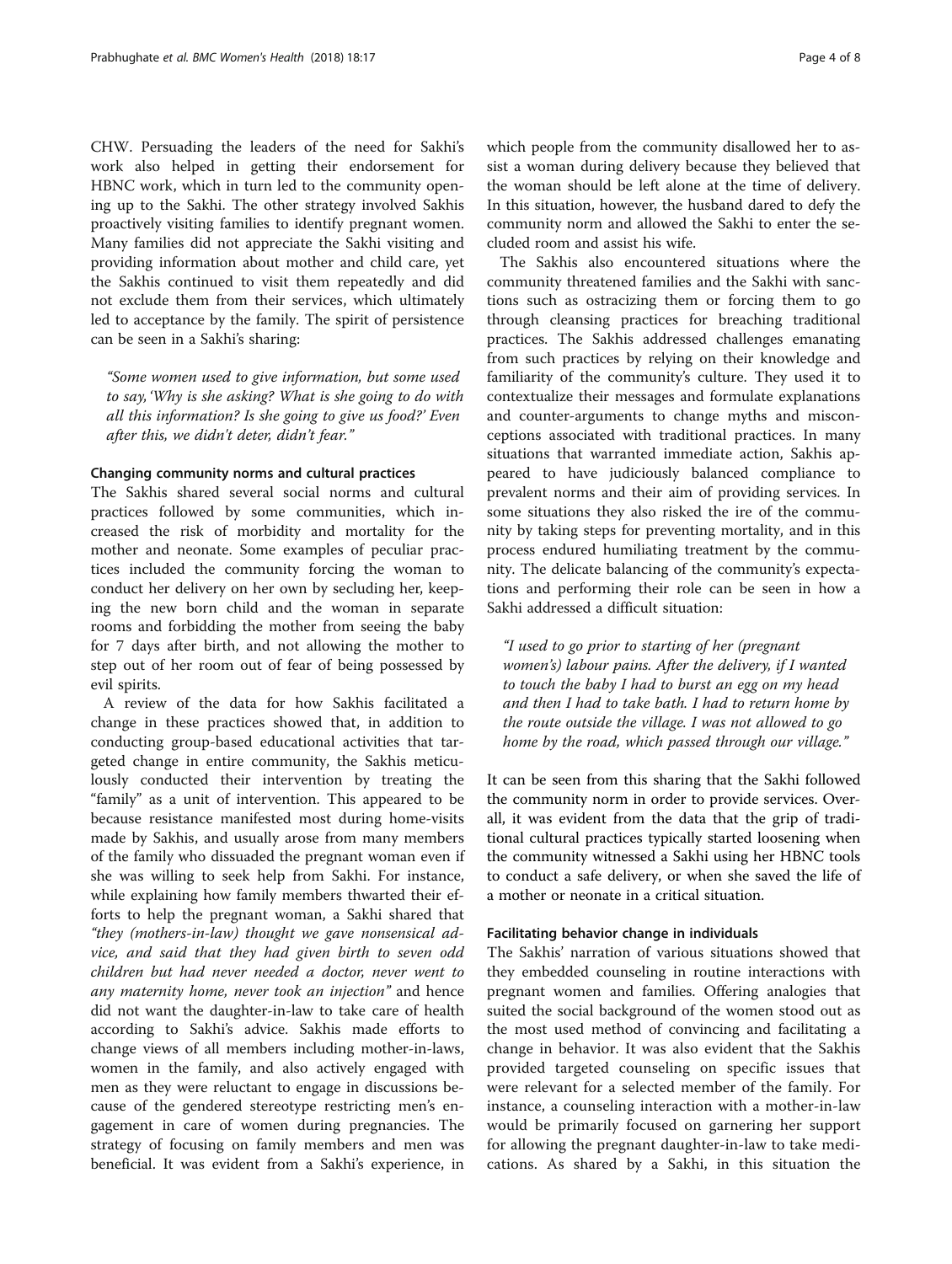CHW. Persuading the leaders of the need for Sakhi's work also helped in getting their endorsement for HBNC work, which in turn led to the community opening up to the Sakhi. The other strategy involved Sakhis proactively visiting families to identify pregnant women. Many families did not appreciate the Sakhi visiting and providing information about mother and child care, yet the Sakhis continued to visit them repeatedly and did not exclude them from their services, which ultimately led to acceptance by the family. The spirit of persistence can be seen in a Sakhi's sharing:

"Some women used to give information, but some used to say, 'Why is she asking? What is she going to do with all this information? Is she going to give us food?' Even after this, we didn't deter, didn't fear."

## Changing community norms and cultural practices

The Sakhis shared several social norms and cultural practices followed by some communities, which increased the risk of morbidity and mortality for the mother and neonate. Some examples of peculiar practices included the community forcing the woman to conduct her delivery on her own by secluding her, keeping the new born child and the woman in separate rooms and forbidding the mother from seeing the baby for 7 days after birth, and not allowing the mother to step out of her room out of fear of being possessed by evil spirits.

A review of the data for how Sakhis facilitated a change in these practices showed that, in addition to conducting group-based educational activities that targeted change in entire community, the Sakhis meticulously conducted their intervention by treating the "family" as a unit of intervention. This appeared to be because resistance manifested most during home-visits made by Sakhis, and usually arose from many members of the family who dissuaded the pregnant woman even if she was willing to seek help from Sakhi. For instance, while explaining how family members thwarted their efforts to help the pregnant woman, a Sakhi shared that "they (mothers-in-law) thought we gave nonsensical advice, and said that they had given birth to seven odd children but had never needed a doctor, never went to any maternity home, never took an injection" and hence did not want the daughter-in-law to take care of health according to Sakhi's advice. Sakhis made efforts to change views of all members including mother-in-laws, women in the family, and also actively engaged with men as they were reluctant to engage in discussions because of the gendered stereotype restricting men's engagement in care of women during pregnancies. The strategy of focusing on family members and men was beneficial. It was evident from a Sakhi's experience, in

which people from the community disallowed her to assist a woman during delivery because they believed that the woman should be left alone at the time of delivery. In this situation, however, the husband dared to defy the community norm and allowed the Sakhi to enter the secluded room and assist his wife.

The Sakhis also encountered situations where the community threatened families and the Sakhi with sanctions such as ostracizing them or forcing them to go through cleansing practices for breaching traditional practices. The Sakhis addressed challenges emanating from such practices by relying on their knowledge and familiarity of the community's culture. They used it to contextualize their messages and formulate explanations and counter-arguments to change myths and misconceptions associated with traditional practices. In many situations that warranted immediate action, Sakhis appeared to have judiciously balanced compliance to prevalent norms and their aim of providing services. In some situations they also risked the ire of the community by taking steps for preventing mortality, and in this process endured humiliating treatment by the community. The delicate balancing of the community's expectations and performing their role can be seen in how a Sakhi addressed a difficult situation:

"I used to go prior to starting of her (pregnant women's) labour pains. After the delivery, if I wanted to touch the baby I had to burst an egg on my head and then I had to take bath. I had to return home by the route outside the village. I was not allowed to go home by the road, which passed through our village."

It can be seen from this sharing that the Sakhi followed the community norm in order to provide services. Overall, it was evident from the data that the grip of traditional cultural practices typically started loosening when the community witnessed a Sakhi using her HBNC tools to conduct a safe delivery, or when she saved the life of a mother or neonate in a critical situation.

# Facilitating behavior change in individuals

The Sakhis' narration of various situations showed that they embedded counseling in routine interactions with pregnant women and families. Offering analogies that suited the social background of the women stood out as the most used method of convincing and facilitating a change in behavior. It was also evident that the Sakhis provided targeted counseling on specific issues that were relevant for a selected member of the family. For instance, a counseling interaction with a mother-in-law would be primarily focused on garnering her support for allowing the pregnant daughter-in-law to take medications. As shared by a Sakhi, in this situation the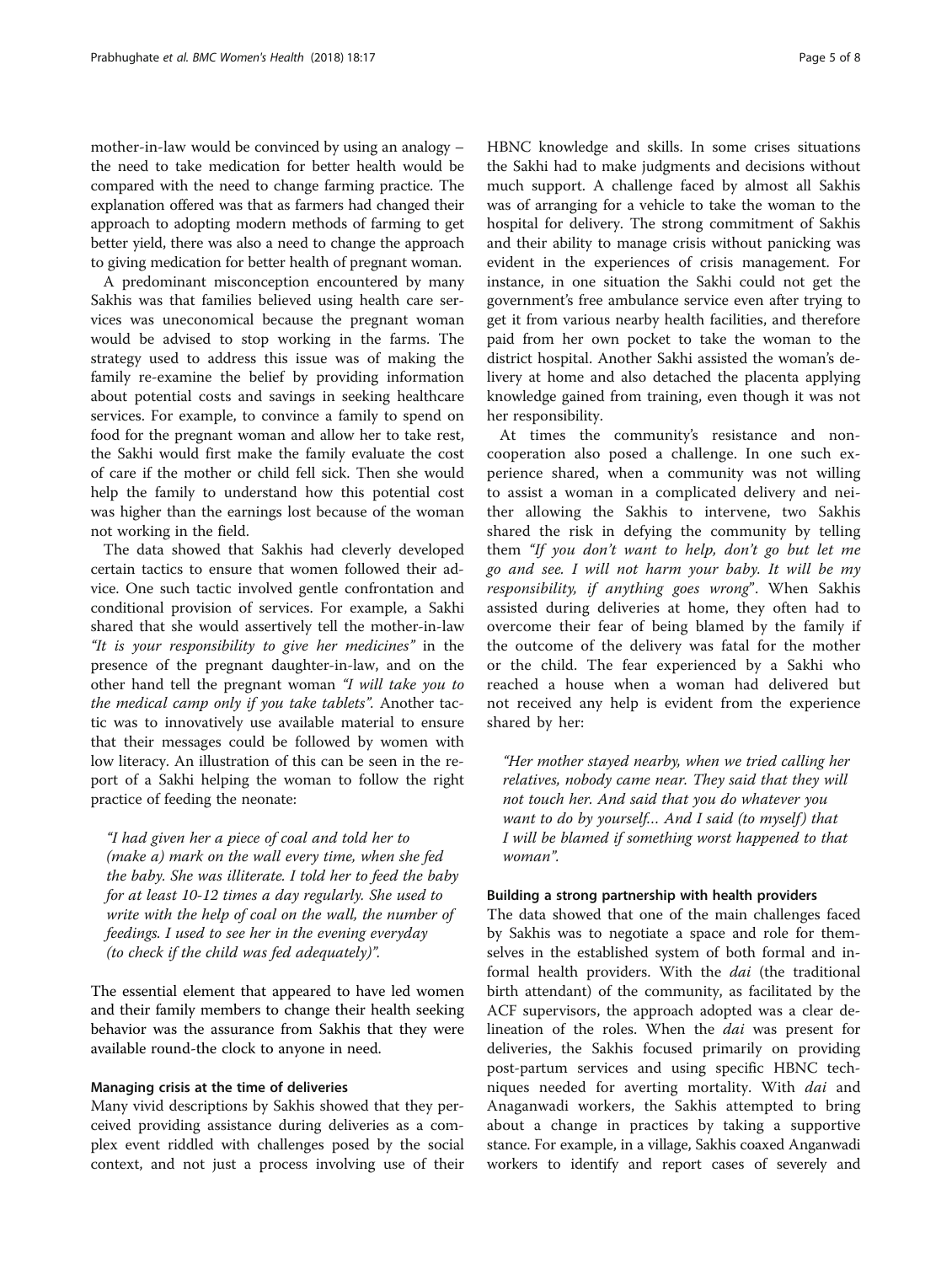mother-in-law would be convinced by using an analogy – the need to take medication for better health would be compared with the need to change farming practice. The explanation offered was that as farmers had changed their approach to adopting modern methods of farming to get better yield, there was also a need to change the approach to giving medication for better health of pregnant woman.

A predominant misconception encountered by many Sakhis was that families believed using health care services was uneconomical because the pregnant woman would be advised to stop working in the farms. The strategy used to address this issue was of making the family re-examine the belief by providing information about potential costs and savings in seeking healthcare services. For example, to convince a family to spend on food for the pregnant woman and allow her to take rest, the Sakhi would first make the family evaluate the cost of care if the mother or child fell sick. Then she would help the family to understand how this potential cost was higher than the earnings lost because of the woman not working in the field.

The data showed that Sakhis had cleverly developed certain tactics to ensure that women followed their advice. One such tactic involved gentle confrontation and conditional provision of services. For example, a Sakhi shared that she would assertively tell the mother-in-law "It is your responsibility to give her medicines" in the presence of the pregnant daughter-in-law, and on the other hand tell the pregnant woman "I will take you to the medical camp only if you take tablets". Another tactic was to innovatively use available material to ensure that their messages could be followed by women with low literacy. An illustration of this can be seen in the report of a Sakhi helping the woman to follow the right practice of feeding the neonate:

"I had given her a piece of coal and told her to (make a) mark on the wall every time, when she fed the baby. She was illiterate. I told her to feed the baby for at least 10-12 times a day regularly. She used to write with the help of coal on the wall, the number of feedings. I used to see her in the evening everyday (to check if the child was fed adequately)".

The essential element that appeared to have led women and their family members to change their health seeking behavior was the assurance from Sakhis that they were available round-the clock to anyone in need.

## Managing crisis at the time of deliveries

Many vivid descriptions by Sakhis showed that they perceived providing assistance during deliveries as a complex event riddled with challenges posed by the social context, and not just a process involving use of their HBNC knowledge and skills. In some crises situations the Sakhi had to make judgments and decisions without much support. A challenge faced by almost all Sakhis was of arranging for a vehicle to take the woman to the hospital for delivery. The strong commitment of Sakhis and their ability to manage crisis without panicking was evident in the experiences of crisis management. For instance, in one situation the Sakhi could not get the government's free ambulance service even after trying to get it from various nearby health facilities, and therefore paid from her own pocket to take the woman to the district hospital. Another Sakhi assisted the woman's delivery at home and also detached the placenta applying knowledge gained from training, even though it was not her responsibility.

At times the community's resistance and noncooperation also posed a challenge. In one such experience shared, when a community was not willing to assist a woman in a complicated delivery and neither allowing the Sakhis to intervene, two Sakhis shared the risk in defying the community by telling them "If you don't want to help, don't go but let me go and see. I will not harm your baby. It will be my responsibility, if anything goes wrong". When Sakhis assisted during deliveries at home, they often had to overcome their fear of being blamed by the family if the outcome of the delivery was fatal for the mother or the child. The fear experienced by a Sakhi who reached a house when a woman had delivered but not received any help is evident from the experience shared by her:

"Her mother stayed nearby, when we tried calling her relatives, nobody came near. They said that they will not touch her. And said that you do whatever you want to do by yourself... And I said (to myself) that I will be blamed if something worst happened to that woman".

## Building a strong partnership with health providers

The data showed that one of the main challenges faced by Sakhis was to negotiate a space and role for themselves in the established system of both formal and informal health providers. With the *dai* (the traditional birth attendant) of the community, as facilitated by the ACF supervisors, the approach adopted was a clear delineation of the roles. When the *dai* was present for deliveries, the Sakhis focused primarily on providing post-partum services and using specific HBNC techniques needed for averting mortality. With dai and Anaganwadi workers, the Sakhis attempted to bring about a change in practices by taking a supportive stance. For example, in a village, Sakhis coaxed Anganwadi workers to identify and report cases of severely and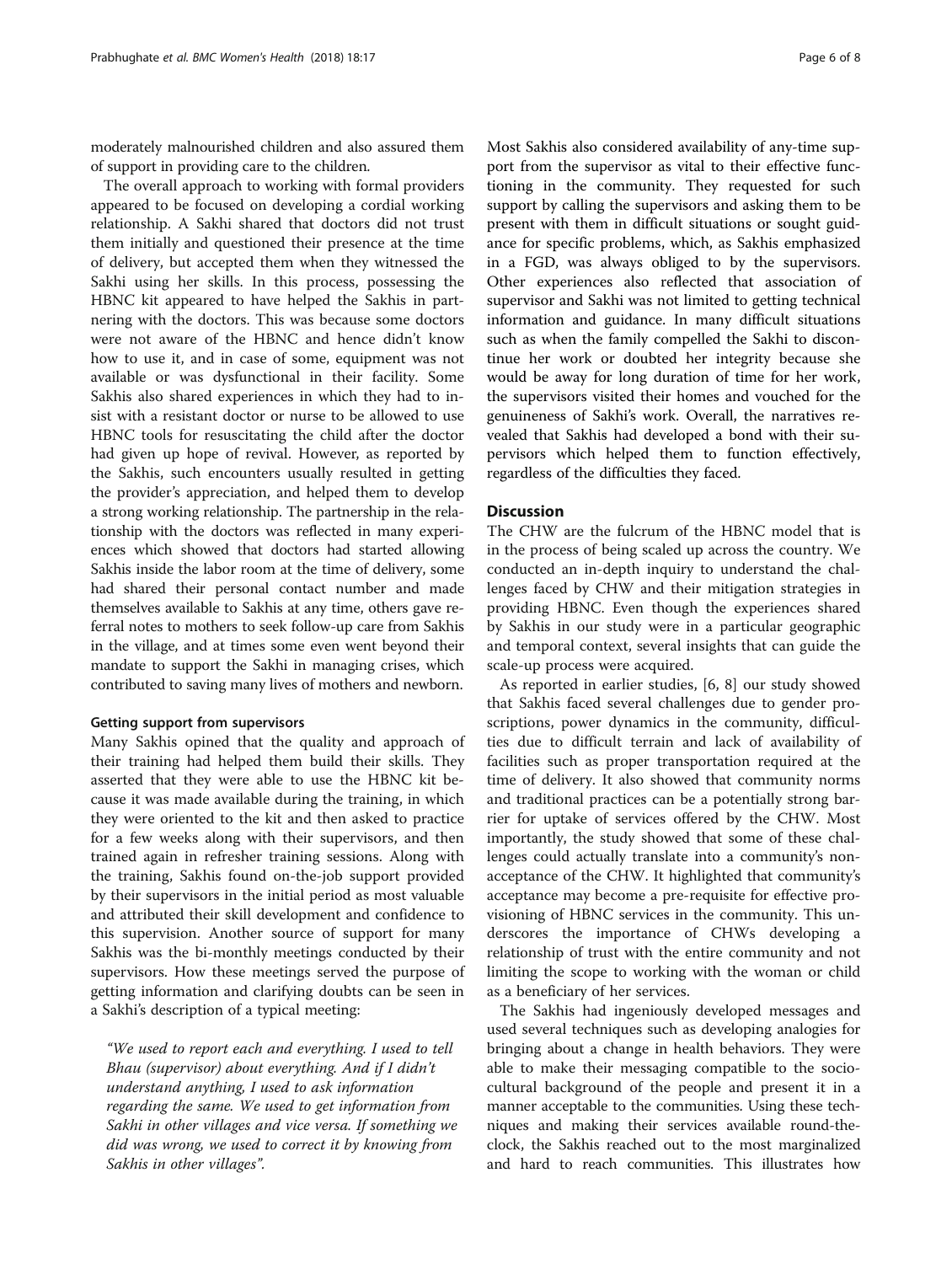moderately malnourished children and also assured them of support in providing care to the children.

The overall approach to working with formal providers appeared to be focused on developing a cordial working relationship. A Sakhi shared that doctors did not trust them initially and questioned their presence at the time of delivery, but accepted them when they witnessed the Sakhi using her skills. In this process, possessing the HBNC kit appeared to have helped the Sakhis in partnering with the doctors. This was because some doctors were not aware of the HBNC and hence didn't know how to use it, and in case of some, equipment was not available or was dysfunctional in their facility. Some Sakhis also shared experiences in which they had to insist with a resistant doctor or nurse to be allowed to use HBNC tools for resuscitating the child after the doctor had given up hope of revival. However, as reported by the Sakhis, such encounters usually resulted in getting the provider's appreciation, and helped them to develop a strong working relationship. The partnership in the relationship with the doctors was reflected in many experiences which showed that doctors had started allowing Sakhis inside the labor room at the time of delivery, some had shared their personal contact number and made themselves available to Sakhis at any time, others gave referral notes to mothers to seek follow-up care from Sakhis in the village, and at times some even went beyond their mandate to support the Sakhi in managing crises, which contributed to saving many lives of mothers and newborn.

## Getting support from supervisors

Many Sakhis opined that the quality and approach of their training had helped them build their skills. They asserted that they were able to use the HBNC kit because it was made available during the training, in which they were oriented to the kit and then asked to practice for a few weeks along with their supervisors, and then trained again in refresher training sessions. Along with the training, Sakhis found on-the-job support provided by their supervisors in the initial period as most valuable and attributed their skill development and confidence to this supervision. Another source of support for many Sakhis was the bi-monthly meetings conducted by their supervisors. How these meetings served the purpose of getting information and clarifying doubts can be seen in a Sakhi's description of a typical meeting:

"We used to report each and everything. I used to tell Bhau (supervisor) about everything. And if I didn't understand anything, I used to ask information regarding the same. We used to get information from Sakhi in other villages and vice versa. If something we did was wrong, we used to correct it by knowing from Sakhis in other villages".

Most Sakhis also considered availability of any-time support from the supervisor as vital to their effective functioning in the community. They requested for such support by calling the supervisors and asking them to be present with them in difficult situations or sought guidance for specific problems, which, as Sakhis emphasized in a FGD, was always obliged to by the supervisors. Other experiences also reflected that association of supervisor and Sakhi was not limited to getting technical information and guidance. In many difficult situations such as when the family compelled the Sakhi to discontinue her work or doubted her integrity because she would be away for long duration of time for her work, the supervisors visited their homes and vouched for the genuineness of Sakhi's work. Overall, the narratives revealed that Sakhis had developed a bond with their supervisors which helped them to function effectively, regardless of the difficulties they faced.

# **Discussion**

The CHW are the fulcrum of the HBNC model that is in the process of being scaled up across the country. We conducted an in-depth inquiry to understand the challenges faced by CHW and their mitigation strategies in providing HBNC. Even though the experiences shared by Sakhis in our study were in a particular geographic and temporal context, several insights that can guide the scale-up process were acquired.

As reported in earlier studies, [[6, 8](#page-7-0)] our study showed that Sakhis faced several challenges due to gender proscriptions, power dynamics in the community, difficulties due to difficult terrain and lack of availability of facilities such as proper transportation required at the time of delivery. It also showed that community norms and traditional practices can be a potentially strong barrier for uptake of services offered by the CHW. Most importantly, the study showed that some of these challenges could actually translate into a community's nonacceptance of the CHW. It highlighted that community's acceptance may become a pre-requisite for effective provisioning of HBNC services in the community. This underscores the importance of CHWs developing a relationship of trust with the entire community and not limiting the scope to working with the woman or child as a beneficiary of her services.

The Sakhis had ingeniously developed messages and used several techniques such as developing analogies for bringing about a change in health behaviors. They were able to make their messaging compatible to the sociocultural background of the people and present it in a manner acceptable to the communities. Using these techniques and making their services available round-theclock, the Sakhis reached out to the most marginalized and hard to reach communities. This illustrates how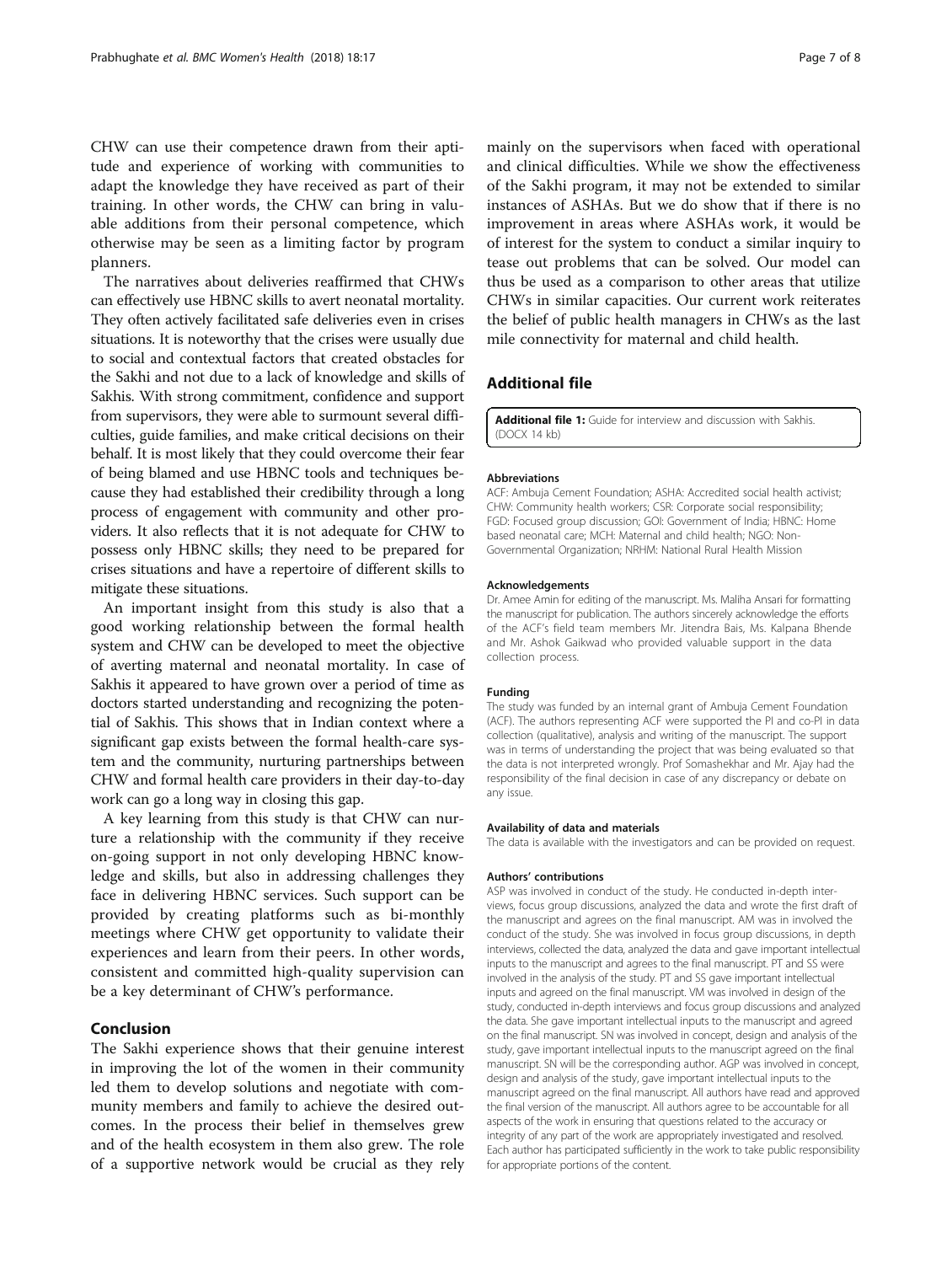<span id="page-6-0"></span>CHW can use their competence drawn from their aptitude and experience of working with communities to adapt the knowledge they have received as part of their training. In other words, the CHW can bring in valuable additions from their personal competence, which otherwise may be seen as a limiting factor by program planners.

The narratives about deliveries reaffirmed that CHWs can effectively use HBNC skills to avert neonatal mortality. They often actively facilitated safe deliveries even in crises situations. It is noteworthy that the crises were usually due to social and contextual factors that created obstacles for the Sakhi and not due to a lack of knowledge and skills of Sakhis. With strong commitment, confidence and support from supervisors, they were able to surmount several difficulties, guide families, and make critical decisions on their behalf. It is most likely that they could overcome their fear of being blamed and use HBNC tools and techniques because they had established their credibility through a long process of engagement with community and other providers. It also reflects that it is not adequate for CHW to possess only HBNC skills; they need to be prepared for crises situations and have a repertoire of different skills to mitigate these situations.

An important insight from this study is also that a good working relationship between the formal health system and CHW can be developed to meet the objective of averting maternal and neonatal mortality. In case of Sakhis it appeared to have grown over a period of time as doctors started understanding and recognizing the potential of Sakhis. This shows that in Indian context where a significant gap exists between the formal health-care system and the community, nurturing partnerships between CHW and formal health care providers in their day-to-day work can go a long way in closing this gap.

A key learning from this study is that CHW can nurture a relationship with the community if they receive on-going support in not only developing HBNC knowledge and skills, but also in addressing challenges they face in delivering HBNC services. Such support can be provided by creating platforms such as bi-monthly meetings where CHW get opportunity to validate their experiences and learn from their peers. In other words, consistent and committed high-quality supervision can be a key determinant of CHW's performance.

# Conclusion

The Sakhi experience shows that their genuine interest in improving the lot of the women in their community led them to develop solutions and negotiate with community members and family to achieve the desired outcomes. In the process their belief in themselves grew and of the health ecosystem in them also grew. The role of a supportive network would be crucial as they rely

mainly on the supervisors when faced with operational and clinical difficulties. While we show the effectiveness of the Sakhi program, it may not be extended to similar instances of ASHAs. But we do show that if there is no improvement in areas where ASHAs work, it would be of interest for the system to conduct a similar inquiry to tease out problems that can be solved. Our model can thus be used as a comparison to other areas that utilize CHWs in similar capacities. Our current work reiterates the belief of public health managers in CHWs as the last mile connectivity for maternal and child health.

# Additional file

[Additional file 1:](dx.doi.org/10.1186/s12905-018-0511-6) Guide for interview and discussion with Sakhis. (DOCX 14 kb)

#### **Abbreviations**

ACF: Ambuja Cement Foundation; ASHA: Accredited social health activist; CHW: Community health workers; CSR: Corporate social responsibility; FGD: Focused group discussion; GOI: Government of India; HBNC: Home based neonatal care; MCH: Maternal and child health; NGO: Non-Governmental Organization; NRHM: National Rural Health Mission

#### Acknowledgements

Dr. Amee Amin for editing of the manuscript. Ms. Maliha Ansari for formatting the manuscript for publication. The authors sincerely acknowledge the efforts of the ACF's field team members Mr. Jitendra Bais, Ms. Kalpana Bhende and Mr. Ashok Gaikwad who provided valuable support in the data collection process.

#### Funding

The study was funded by an internal grant of Ambuja Cement Foundation (ACF). The authors representing ACF were supported the PI and co-PI in data collection (qualitative), analysis and writing of the manuscript. The support was in terms of understanding the project that was being evaluated so that the data is not interpreted wrongly. Prof Somashekhar and Mr. Ajay had the responsibility of the final decision in case of any discrepancy or debate on any issue.

#### Availability of data and materials

The data is available with the investigators and can be provided on request.

#### Authors' contributions

ASP was involved in conduct of the study. He conducted in-depth interviews, focus group discussions, analyzed the data and wrote the first draft of the manuscript and agrees on the final manuscript. AM was in involved the conduct of the study. She was involved in focus group discussions, in depth interviews, collected the data, analyzed the data and gave important intellectual inputs to the manuscript and agrees to the final manuscript. PT and SS were involved in the analysis of the study. PT and SS gave important intellectual inputs and agreed on the final manuscript. VM was involved in design of the study, conducted in-depth interviews and focus group discussions and analyzed the data. She gave important intellectual inputs to the manuscript and agreed on the final manuscript. SN was involved in concept, design and analysis of the study, gave important intellectual inputs to the manuscript agreed on the final manuscript. SN will be the corresponding author. AGP was involved in concept, design and analysis of the study, gave important intellectual inputs to the manuscript agreed on the final manuscript. All authors have read and approved the final version of the manuscript. All authors agree to be accountable for all aspects of the work in ensuring that questions related to the accuracy or integrity of any part of the work are appropriately investigated and resolved. Each author has participated sufficiently in the work to take public responsibility for appropriate portions of the content.